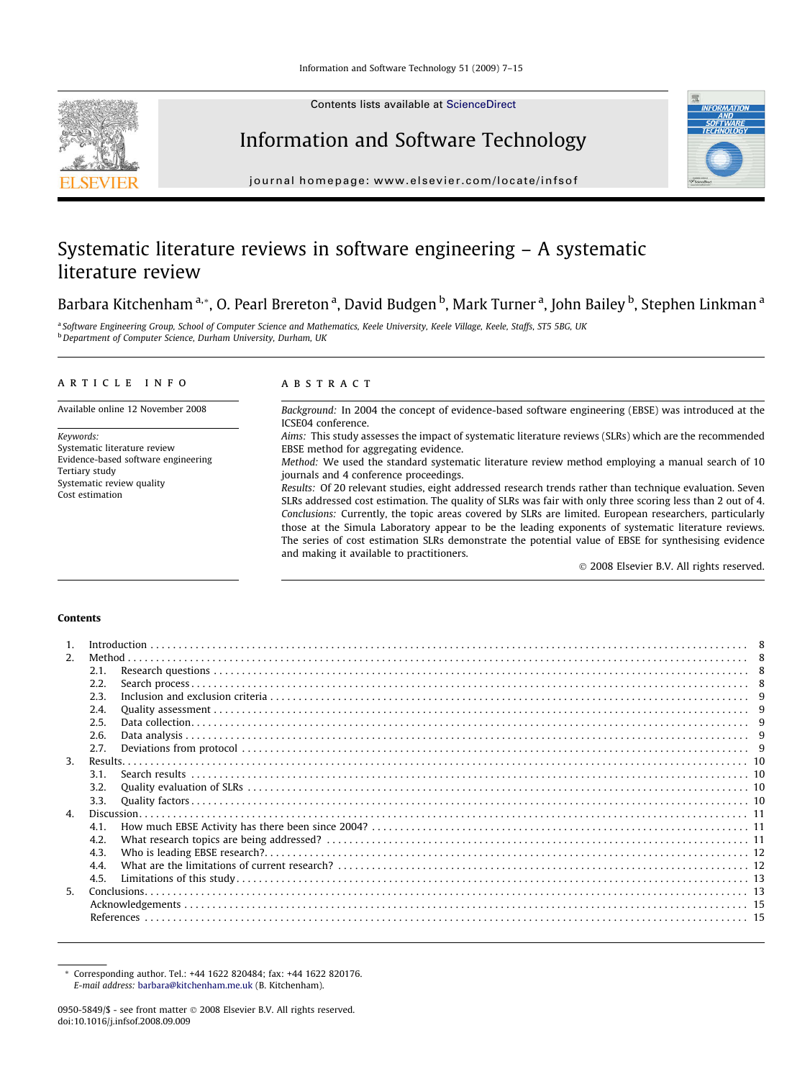

Contents lists available at [ScienceDirect](http://www.sciencedirect.com/science/journal/09505849)

## Information and Software Technology



journal homepage: [www.elsevier.com/locate/infsof](http://www.elsevier.com/locate/infsof)

# Systematic literature reviews in software engineering – A systematic literature review

## Barbara Kitchenham <sup>a,</sup>\*, O. Pearl Brereton <sup>a</sup>, David Budgen <sup>b</sup>, Mark Turner <sup>a</sup>, John Bailey <sup>b</sup>, Stephen Linkman <sup>a</sup>

a Software Engineering Group, School of Computer Science and Mathematics, Keele University, Keele Village, Keele, Staffs, ST5 5BG, UK **b** Department of Computer Science, Durham University, Durham, UK

## article info

Available online 12 November 2008

Keywords: Systematic literature review Evidence-based software engineering Tertiary study Systematic review quality Cost estimation

## **ABSTRACT**

Background: In 2004 the concept of evidence-based software engineering (EBSE) was introduced at the ICSE04 conference.

Aims: This study assesses the impact of systematic literature reviews (SLRs) which are the recommended EBSE method for aggregating evidence.

Method: We used the standard systematic literature review method employing a manual search of 10 journals and 4 conference proceedings.

Results: Of 20 relevant studies, eight addressed research trends rather than technique evaluation. Seven SLRs addressed cost estimation. The quality of SLRs was fair with only three scoring less than 2 out of 4. Conclusions: Currently, the topic areas covered by SLRs are limited. European researchers, particularly those at the Simula Laboratory appear to be the leading exponents of systematic literature reviews. The series of cost estimation SLRs demonstrate the potential value of EBSE for synthesising evidence and making it available to practitioners.

- 2008 Elsevier B.V. All rights reserved.

## Contents

| 1.             |      |  |
|----------------|------|--|
| 2.             |      |  |
|                | 2.1. |  |
|                | 2.2. |  |
|                | 2.3. |  |
|                | 2.4. |  |
|                | 2.5. |  |
|                | 2.6. |  |
|                | 2.7. |  |
| 3 <sub>1</sub> |      |  |
|                | 3.1. |  |
|                | 3.2. |  |
|                | 3.3. |  |
| $\overline{4}$ |      |  |
|                | 4.1. |  |
|                | 4.2. |  |
|                | 4.3. |  |
|                | 4.4. |  |
|                | 4.5. |  |
| 5.             |      |  |
|                |      |  |
|                |      |  |
|                |      |  |

Corresponding author. Tel.: +44 1622 820484; fax: +44 1622 820176. E-mail address: [barbara@kitchenham.me.uk](mailto:barbara@kitchenham.me.uk) (B. Kitchenham).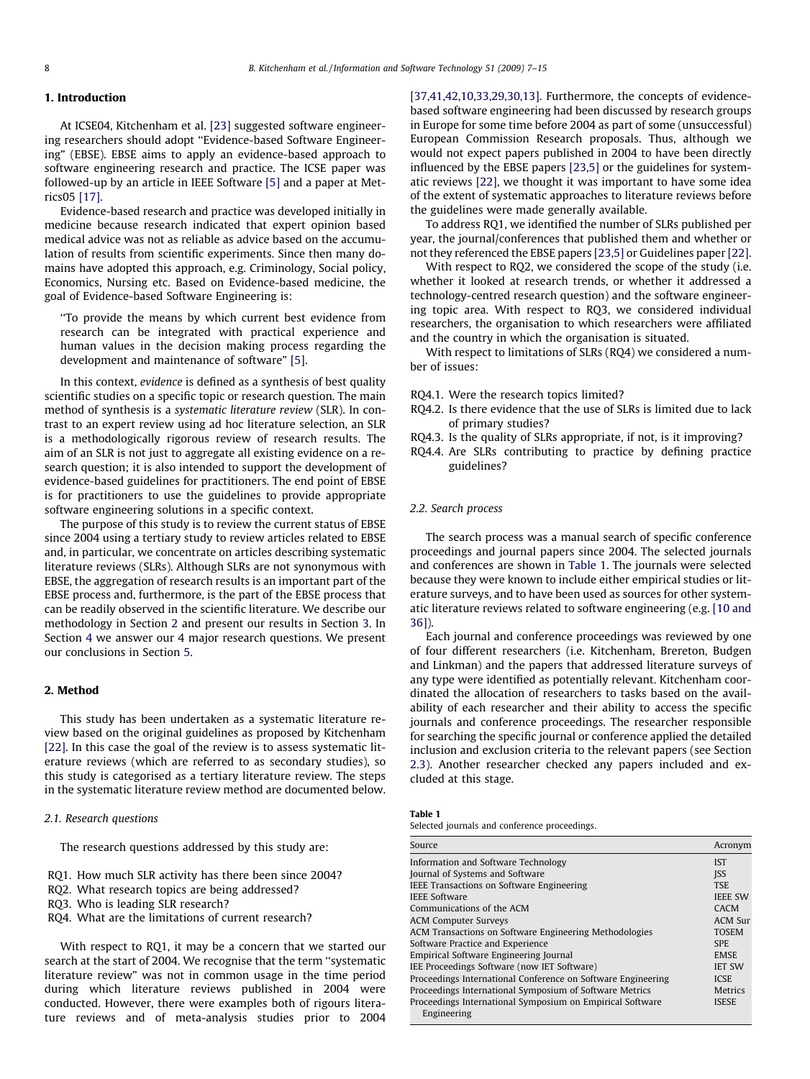## 1. Introduction

At ICSE04, Kitchenham et al. [\[23\]](#page-8-0) suggested software engineering researchers should adopt ''Evidence-based Software Engineering" (EBSE). EBSE aims to apply an evidence-based approach to software engineering research and practice. The ICSE paper was followed-up by an article in IEEE Software [\[5\]](#page-8-0) and a paper at Metrics05 [\[17\].](#page-8-0)

Evidence-based research and practice was developed initially in medicine because research indicated that expert opinion based medical advice was not as reliable as advice based on the accumulation of results from scientific experiments. Since then many domains have adopted this approach, e.g. Criminology, Social policy, Economics, Nursing etc. Based on Evidence-based medicine, the goal of Evidence-based Software Engineering is:

''To provide the means by which current best evidence from research can be integrated with practical experience and human values in the decision making process regarding the development and maintenance of software" [\[5\]](#page-8-0).

In this context, evidence is defined as a synthesis of best quality scientific studies on a specific topic or research question. The main method of synthesis is a systematic literature review (SLR). In contrast to an expert review using ad hoc literature selection, an SLR is a methodologically rigorous review of research results. The aim of an SLR is not just to aggregate all existing evidence on a research question; it is also intended to support the development of evidence-based guidelines for practitioners. The end point of EBSE is for practitioners to use the guidelines to provide appropriate software engineering solutions in a specific context.

The purpose of this study is to review the current status of EBSE since 2004 using a tertiary study to review articles related to EBSE and, in particular, we concentrate on articles describing systematic literature reviews (SLRs). Although SLRs are not synonymous with EBSE, the aggregation of research results is an important part of the EBSE process and, furthermore, is the part of the EBSE process that can be readily observed in the scientific literature. We describe our methodology in Section 2 and present our results in Section [3](#page-3-0). In Section [4](#page-4-0) we answer our 4 major research questions. We present our conclusions in Section [5.](#page-6-0)

## 2. Method

This study has been undertaken as a systematic literature review based on the original guidelines as proposed by Kitchenham [\[22\]](#page-8-0). In this case the goal of the review is to assess systematic literature reviews (which are referred to as secondary studies), so this study is categorised as a tertiary literature review. The steps in the systematic literature review method are documented below.

#### 2.1. Research questions

The research questions addressed by this study are:

- RQ1. How much SLR activity has there been since 2004?
- RQ2. What research topics are being addressed?
- RQ3. Who is leading SLR research?
- RQ4. What are the limitations of current research?

With respect to RQ1, it may be a concern that we started our search at the start of 2004. We recognise that the term ''systematic literature review" was not in common usage in the time period during which literature reviews published in 2004 were conducted. However, there were examples both of rigours literature reviews and of meta-analysis studies prior to 2004 [\[37,41,42,10,33,29,30,13\].](#page-8-0) Furthermore, the concepts of evidencebased software engineering had been discussed by research groups in Europe for some time before 2004 as part of some (unsuccessful) European Commission Research proposals. Thus, although we would not expect papers published in 2004 to have been directly influenced by the EBSE papers [\[23,5\]](#page-8-0) or the guidelines for systematic reviews [\[22\],](#page-8-0) we thought it was important to have some idea of the extent of systematic approaches to literature reviews before the guidelines were made generally available.

To address RQ1, we identified the number of SLRs published per year, the journal/conferences that published them and whether or not they referenced the EBSE papers [\[23,5\]](#page-8-0) or Guidelines paper [\[22\].](#page-8-0)

With respect to RQ2, we considered the scope of the study (i.e. whether it looked at research trends, or whether it addressed a technology-centred research question) and the software engineering topic area. With respect to RQ3, we considered individual researchers, the organisation to which researchers were affiliated and the country in which the organisation is situated.

With respect to limitations of SLRs (RQ4) we considered a number of issues:

- RQ4.1. Were the research topics limited?
- RQ4.2. Is there evidence that the use of SLRs is limited due to lack of primary studies?
- RQ4.3. Is the quality of SLRs appropriate, if not, is it improving?
- RQ4.4. Are SLRs contributing to practice by defining practice guidelines?

#### 2.2. Search process

The search process was a manual search of specific conference proceedings and journal papers since 2004. The selected journals and conferences are shown in Table 1. The journals were selected because they were known to include either empirical studies or literature surveys, and to have been used as sources for other systematic literature reviews related to software engineering (e.g. [\[10 and](#page-8-0) [36\]](#page-8-0)).

Each journal and conference proceedings was reviewed by one of four different researchers (i.e. Kitchenham, Brereton, Budgen and Linkman) and the papers that addressed literature surveys of any type were identified as potentially relevant. Kitchenham coordinated the allocation of researchers to tasks based on the availability of each researcher and their ability to access the specific journals and conference proceedings. The researcher responsible for searching the specific journal or conference applied the detailed inclusion and exclusion criteria to the relevant papers (see Section [2.3](#page-2-0)). Another researcher checked any papers included and excluded at this stage.

Table 1

Selected journals and conference proceedings.

| Acronym        |
|----------------|
| <b>IST</b>     |
| <b>ISS</b>     |
| <b>TSE</b>     |
| <b>IEEE SW</b> |
| <b>CACM</b>    |
| <b>ACM Sur</b> |
| <b>TOSEM</b>   |
| <b>SPE</b>     |
| <b>EMSE</b>    |
| <b>IET SW</b>  |
| <b>ICSE</b>    |
| <b>Metrics</b> |
| <b>ISESE</b>   |
|                |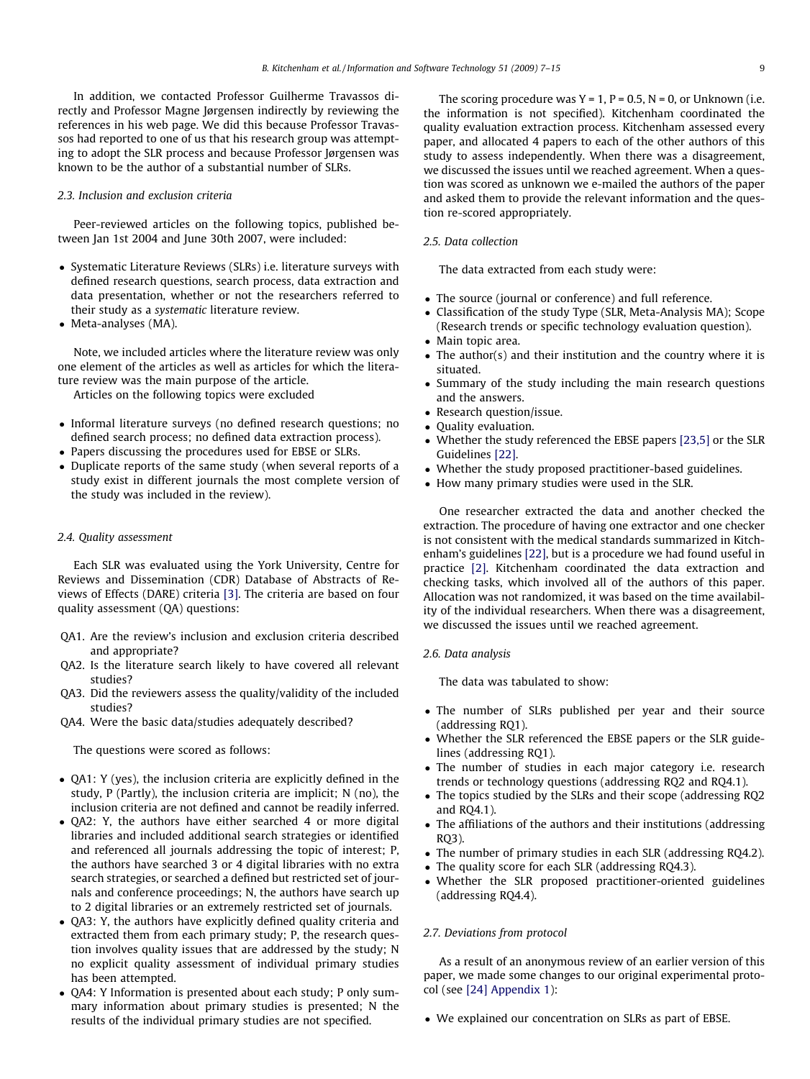<span id="page-2-0"></span>In addition, we contacted Professor Guilherme Travassos directly and Professor Magne Jørgensen indirectly by reviewing the references in his web page. We did this because Professor Travassos had reported to one of us that his research group was attempting to adopt the SLR process and because Professor Jørgensen was known to be the author of a substantial number of SLRs.

#### 2.3. Inclusion and exclusion criteria

Peer-reviewed articles on the following topics, published between Jan 1st 2004 and June 30th 2007, were included:

- Systematic Literature Reviews (SLRs) i.e. literature surveys with defined research questions, search process, data extraction and data presentation, whether or not the researchers referred to their study as a systematic literature review.
- Meta-analyses (MA).

Note, we included articles where the literature review was only one element of the articles as well as articles for which the literature review was the main purpose of the article.

Articles on the following topics were excluded

- Informal literature surveys (no defined research questions; no defined search process; no defined data extraction process).
- Papers discussing the procedures used for EBSE or SLRs.
- Duplicate reports of the same study (when several reports of a study exist in different journals the most complete version of the study was included in the review).

## 2.4. Quality assessment

Each SLR was evaluated using the York University, Centre for Reviews and Dissemination (CDR) Database of Abstracts of Reviews of Effects (DARE) criteria [\[3\]](#page-8-0). The criteria are based on four quality assessment (QA) questions:

- QA1. Are the review's inclusion and exclusion criteria described and appropriate?
- QA2. Is the literature search likely to have covered all relevant studies?
- QA3. Did the reviewers assess the quality/validity of the included studies?
- QA4. Were the basic data/studies adequately described?

The questions were scored as follows:

- QA1: Y (yes), the inclusion criteria are explicitly defined in the study, P (Partly), the inclusion criteria are implicit; N (no), the inclusion criteria are not defined and cannot be readily inferred.
- QA2: Y, the authors have either searched 4 or more digital libraries and included additional search strategies or identified and referenced all journals addressing the topic of interest; P, the authors have searched 3 or 4 digital libraries with no extra search strategies, or searched a defined but restricted set of journals and conference proceedings; N, the authors have search up to 2 digital libraries or an extremely restricted set of journals.
- QA3: Y, the authors have explicitly defined quality criteria and extracted them from each primary study; P, the research question involves quality issues that are addressed by the study; N no explicit quality assessment of individual primary studies has been attempted.
- QA4: Y Information is presented about each study; P only summary information about primary studies is presented; N the results of the individual primary studies are not specified.

The scoring procedure was  $Y = 1$ ,  $P = 0.5$ ,  $N = 0$ , or Unknown (i.e. the information is not specified). Kitchenham coordinated the quality evaluation extraction process. Kitchenham assessed every paper, and allocated 4 papers to each of the other authors of this study to assess independently. When there was a disagreement, we discussed the issues until we reached agreement. When a question was scored as unknown we e-mailed the authors of the paper and asked them to provide the relevant information and the question re-scored appropriately.

## 2.5. Data collection

The data extracted from each study were:

- The source (journal or conference) and full reference.
- $\bullet$  Classification of the study Type (SLR, Meta-Analysis MA); Scope (Research trends or specific technology evaluation question).
- Main topic area.
- The author(s) and their institution and the country where it is situated.
- Summary of the study including the main research questions and the answers.
- Research question/issue.
- Quality evaluation.
- Whether the study referenced the EBSE papers [\[23,5\]](#page-8-0) or the SLR Guidelines [\[22\]](#page-8-0).
- Whether the study proposed practitioner-based guidelines.
- How many primary studies were used in the SLR.

One researcher extracted the data and another checked the extraction. The procedure of having one extractor and one checker is not consistent with the medical standards summarized in Kitchenham's guidelines [\[22\],](#page-8-0) but is a procedure we had found useful in practice [\[2\].](#page-8-0) Kitchenham coordinated the data extraction and checking tasks, which involved all of the authors of this paper. Allocation was not randomized, it was based on the time availability of the individual researchers. When there was a disagreement, we discussed the issues until we reached agreement.

#### 2.6. Data analysis

The data was tabulated to show:

- The number of SLRs published per year and their source (addressing RQ1).
- Whether the SLR referenced the EBSE papers or the SLR guidelines (addressing RQ1).
- The number of studies in each major category i.e. research trends or technology questions (addressing RQ2 and RQ4.1).
- The topics studied by the SLRs and their scope (addressing RQ2 and  $RO4.1$ ).
- The affiliations of the authors and their institutions (addressing  $RO3$ ).
- The number of primary studies in each SLR (addressing RQ4.2).
- The quality score for each SLR (addressing RQ4.3).
- Whether the SLR proposed practitioner-oriented guidelines (addressing RQ4.4).

### 2.7. Deviations from protocol

As a result of an anonymous review of an earlier version of this paper, we made some changes to our original experimental protocol (see [\[24\]](#page-8-0) Appendix 1):

• We explained our concentration on SLRs as part of EBSE.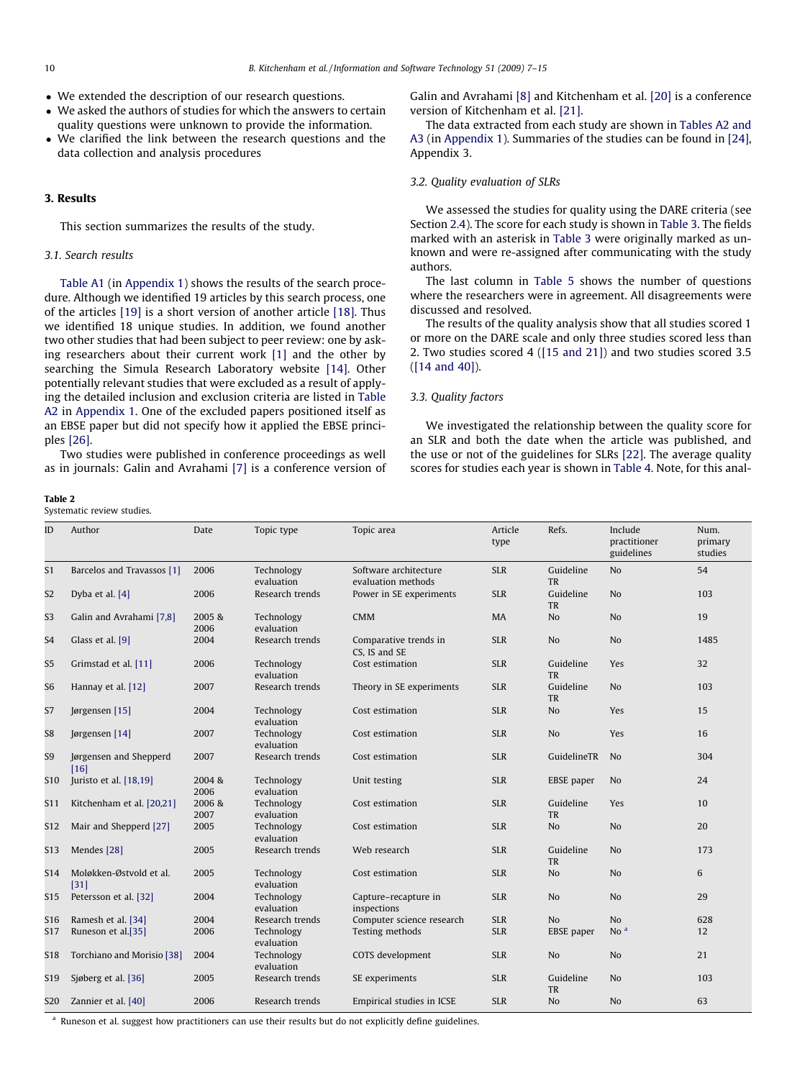- <span id="page-3-0"></span>- We extended the description of our research questions.
- We asked the authors of studies for which the answers to certain quality questions were unknown to provide the information.
- We clarified the link between the research questions and the data collection and analysis procedures

## 3. Results

This section summarizes the results of the study.

### 3.1. Search results

[Table A1](#page-5-0) (in Appendix 1) shows the results of the search procedure. Although we identified 19 articles by this search process, one of the articles [\[19\]](#page-8-0) is a short version of another article [\[18\].](#page-8-0) Thus we identified 18 unique studies. In addition, we found another two other studies that had been subject to peer review: one by asking researchers about their current work [\[1\]](#page-8-0) and the other by searching the Simula Research Laboratory website [\[14\].](#page-8-0) Other potentially relevant studies that were excluded as a result of applying the detailed inclusion and exclusion criteria are listed in [Table](#page-6-0) [A2](#page-6-0) in Appendix 1. One of the excluded papers positioned itself as an EBSE paper but did not specify how it applied the EBSE principles [\[26\]](#page-8-0).

Two studies were published in conference proceedings as well as in journals: Galin and Avrahami [\[7\]](#page-8-0) is a conference version of

#### Table 2

Systematic review studies.

Galin and Avrahami [\[8\]](#page-8-0) and Kitchenham et al. [\[20\]](#page-8-0) is a conference version of Kitchenham et al. [\[21\]](#page-8-0).

The data extracted from each study are shown in [Tables A2 and](#page-6-0) [A3](#page-6-0) (in Appendix 1). Summaries of the studies can be found in [\[24\],](#page-8-0) Appendix 3.

## 3.2. Quality evaluation of SLRs

We assessed the studies for quality using the DARE criteria (see Section [2.4\)](#page-2-0). The score for each study is shown in [Table 3.](#page-4-0) The fields marked with an asterisk in [Table 3](#page-4-0) were originally marked as unknown and were re-assigned after communicating with the study authors.

The last column in [Table 5](#page-4-0) shows the number of questions where the researchers were in agreement. All disagreements were discussed and resolved.

The results of the quality analysis show that all studies scored 1 or more on the DARE scale and only three studies scored less than 2. Two studies scored 4 ([\[15 and 21\]](#page-8-0)) and two studies scored 3.5 ([\[14 and 40\]](#page-8-0)).

## 3.3. Quality factors

We investigated the relationship between the quality score for an SLR and both the date when the article was published, and the use or not of the guidelines for SLRs [\[22\]](#page-8-0). The average quality scores for studies each year is shown in [Table 4.](#page-4-0) Note, for this anal-

| ID              | Author                            | Date           | Topic type               | Topic area                                  | Article<br>type | Refs.                  | Include<br>practitioner<br>guidelines | Num.<br>primary<br>studies |
|-----------------|-----------------------------------|----------------|--------------------------|---------------------------------------------|-----------------|------------------------|---------------------------------------|----------------------------|
| S <sub>1</sub>  | Barcelos and Travassos [1]        | 2006           | Technology<br>evaluation | Software architecture<br>evaluation methods | <b>SLR</b>      | Guideline<br>TR        | N <sub>o</sub>                        | 54                         |
| S <sub>2</sub>  | Dyba et al. [4]                   | 2006           | Research trends          | Power in SE experiments                     | <b>SLR</b>      | Guideline<br><b>TR</b> | N <sub>0</sub>                        | 103                        |
| S <sub>3</sub>  | Galin and Avrahami [7,8]          | 2005 &<br>2006 | Technology<br>evaluation | <b>CMM</b>                                  | <b>MA</b>       | N <sub>o</sub>         | N <sub>o</sub>                        | 19                         |
| S4              | Glass et al. [9]                  | 2004           | Research trends          | Comparative trends in<br>CS. IS and SE      | <b>SLR</b>      | N <sub>o</sub>         | N <sub>o</sub>                        | 1485                       |
| S <sub>5</sub>  | Grimstad et al. [11]              | 2006           | Technology<br>evaluation | Cost estimation                             | <b>SLR</b>      | Guideline<br><b>TR</b> | Yes                                   | 32                         |
| S <sub>6</sub>  | Hannay et al. [12]                | 2007           | Research trends          | Theory in SE experiments                    | <b>SLR</b>      | Guideline<br>TR        | N <sub>o</sub>                        | 103                        |
| S7              | Jørgensen [15]                    | 2004           | Technology<br>evaluation | Cost estimation                             | <b>SLR</b>      | No                     | Yes                                   | 15                         |
| S8              | Jørgensen [14]                    | 2007           | Technology<br>evaluation | Cost estimation                             | <b>SLR</b>      | N <sub>o</sub>         | Yes                                   | 16                         |
| S9              | Jørgensen and Shepperd<br>[16]    | 2007           | Research trends          | Cost estimation                             | <b>SLR</b>      | GuidelineTR            | N <sub>o</sub>                        | 304                        |
| S10             | Juristo et al. [18,19]            | 2004 &<br>2006 | Technology<br>evaluation | Unit testing                                | <b>SLR</b>      | EBSE paper             | N <sub>o</sub>                        | 24                         |
| S11             | Kitchenham et al. [20,21]         | 2006 &<br>2007 | Technology<br>evaluation | Cost estimation                             | <b>SLR</b>      | Guideline<br><b>TR</b> | Yes                                   | 10                         |
| S12             | Mair and Shepperd [27]            | 2005           | Technology<br>evaluation | Cost estimation                             | <b>SLR</b>      | No                     | N <sub>o</sub>                        | 20                         |
| S13             | Mendes [28]                       | 2005           | Research trends          | Web research                                | <b>SLR</b>      | Guideline<br>TR        | N <sub>0</sub>                        | 173                        |
| S14             | Moløkken-Østvold et al.<br>$[31]$ | 2005           | Technology<br>evaluation | Cost estimation                             | <b>SLR</b>      | No                     | N <sub>o</sub>                        | 6                          |
| S15             | Petersson et al. [32]             | 2004           | Technology<br>evaluation | Capture-recapture in<br>inspections         | <b>SLR</b>      | N <sub>o</sub>         | N <sub>o</sub>                        | 29                         |
| S <sub>16</sub> | Ramesh et al. [34]                | 2004           | Research trends          | Computer science research                   | <b>SLR</b>      | No                     | No                                    | 628                        |
| S17             | Runeson et al.[35]                | 2006           | Technology<br>evaluation | Testing methods                             | <b>SLR</b>      | EBSE paper             | No <sup>a</sup>                       | 12                         |
| S18             | Torchiano and Morisio [38]        | 2004           | Technology<br>evaluation | COTS development                            | <b>SLR</b>      | N <sub>o</sub>         | N <sub>0</sub>                        | 21                         |
| S19             | Sjøberg et al. [36]               | 2005           | Research trends          | SE experiments                              | <b>SLR</b>      | Guideline<br>TR        | N <sub>0</sub>                        | 103                        |
| S20             | Zannier et al. [40]               | 2006           | Research trends          | Empirical studies in ICSE                   | <b>SLR</b>      | N <sub>o</sub>         | N <sub>o</sub>                        | 63                         |

<sup>a</sup> Runeson et al. suggest how practitioners can use their results but do not explicitly define guidelines.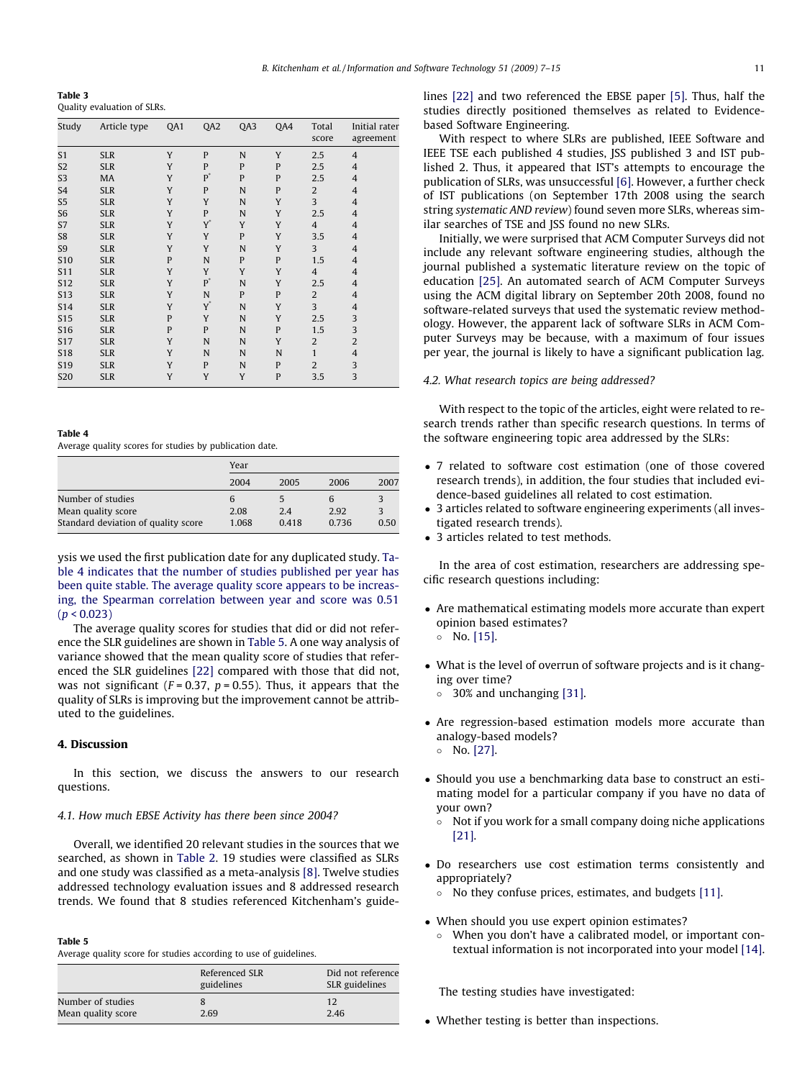<span id="page-4-0"></span>Table 3 Quality evaluation of SLRs.

| Study          | Article type | QA1 | QA2   | QA3          | QA4          | Total<br>score | Initial rater<br>agreement |
|----------------|--------------|-----|-------|--------------|--------------|----------------|----------------------------|
| S <sub>1</sub> | <b>SLR</b>   | Y   | P     | N            | Y            | 2.5            | $\overline{4}$             |
| S <sub>2</sub> | <b>SLR</b>   | Y   | P     | $\mathbf{P}$ | $\mathbf{P}$ | 2.5            | $\overline{4}$             |
| S <sub>3</sub> | MA           | Y   | $P^*$ | $\mathbf{P}$ | $\mathbf{P}$ | 2.5            | 4                          |
| S4             | <b>SLR</b>   | Y   | P     | N            | P            | $\overline{2}$ | $\overline{4}$             |
| S <sub>5</sub> | <b>SLR</b>   | Y   | Y     | N            | Y            | 3              | $\overline{4}$             |
| S <sub>6</sub> | <b>SLR</b>   | Y   | P     | N            | Y            | 2.5            | $\overline{4}$             |
| S7             | <b>SLR</b>   | Y   | $Y^*$ | Y            | Y            | $\overline{4}$ | $\overline{4}$             |
| S8             | <b>SLR</b>   | Y   | Y     | P            | Y            | 3.5            | 4                          |
| S9             | <b>SLR</b>   | Y   | Y     | N            | Y            | 3              | $\overline{4}$             |
| S10            | <b>SLR</b>   | P   | N     | $\mathbf{P}$ | $\mathbf{P}$ | 1.5            | $\overline{4}$             |
| S11            | <b>SLR</b>   | Y   | Y     | Y            | Y            | $\overline{4}$ | 4                          |
| S12            | <b>SLR</b>   | Y   | $P^*$ | N            | Y            | 2.5            | 4                          |
| S13            | <b>SLR</b>   | Y   | N     | $\mathbf{P}$ | $\mathbf{P}$ | $\overline{2}$ | $\overline{4}$             |
| S14            | <b>SLR</b>   | Y   | $Y^*$ | N            | Y            | 3              | $\overline{4}$             |
| S15            | <b>SLR</b>   | P   | Y     | N            | Y            | 2.5            | 3                          |
| S16            | <b>SLR</b>   | P   | P     | N            | P            | 1.5            | 3                          |
| S17            | <b>SLR</b>   | Y   | N     | N            | Y            | $\overline{2}$ | $\overline{2}$             |
| S18            | <b>SLR</b>   | Y   | N     | N            | N            | $\mathbf{1}$   | $\overline{4}$             |
| S19            | <b>SLR</b>   | Y   | P     | N            | $\mathbf P$  | $\overline{2}$ | 3                          |
| S20            | <b>SLR</b>   | Y   | Y     | Y            | $\mathbf{P}$ | 3.5            | 3                          |

#### Table 4

Average quality scores for studies by publication date.

|                                     | Year  |       |       |      |  |
|-------------------------------------|-------|-------|-------|------|--|
|                                     | 2004  | 2005  | 2006  | 2007 |  |
| Number of studies                   | 6     |       | 6     |      |  |
| Mean quality score                  | 2.08  | 2.4   | 2.92  |      |  |
| Standard deviation of quality score | 1.068 | 0.418 | 0.736 | 0.50 |  |

ysis we used the first publication date for any duplicated study. Table 4 indicates that the number of studies published per year has been quite stable. The average quality score appears to be increasing, the Spearman correlation between year and score was 0.51  $(p < 0.023)$ 

The average quality scores for studies that did or did not reference the SLR guidelines are shown in Table 5. A one way analysis of variance showed that the mean quality score of studies that referenced the SLR guidelines [\[22\]](#page-8-0) compared with those that did not, was not significant ( $F = 0.37$ ,  $p = 0.55$ ). Thus, it appears that the quality of SLRs is improving but the improvement cannot be attributed to the guidelines.

### 4. Discussion

In this section, we discuss the answers to our research questions.

#### 4.1. How much EBSE Activity has there been since 2004?

Overall, we identified 20 relevant studies in the sources that we searched, as shown in [Table 2.](#page-3-0) 19 studies were classified as SLRs and one study was classified as a meta-analysis [\[8\].](#page-8-0) Twelve studies addressed technology evaluation issues and 8 addressed research trends. We found that 8 studies referenced Kitchenham's guide-

#### Table 5

Average quality score for studies according to use of guidelines.

|                                         | Referenced SLR<br>guidelines | Did not reference<br>SLR guidelines |
|-----------------------------------------|------------------------------|-------------------------------------|
| Number of studies<br>Mean quality score | 2.69                         | 12<br>2.46                          |

lines [\[22\]](#page-8-0) and two referenced the EBSE paper [\[5\].](#page-8-0) Thus, half the studies directly positioned themselves as related to Evidencebased Software Engineering.

With respect to where SLRs are published, IEEE Software and IEEE TSE each published 4 studies, JSS published 3 and IST published 2. Thus, it appeared that IST's attempts to encourage the publication of SLRs, was unsuccessful [\[6\]](#page-8-0). However, a further check of IST publications (on September 17th 2008 using the search string systematic AND review) found seven more SLRs, whereas similar searches of TSE and JSS found no new SLRs.

Initially, we were surprised that ACM Computer Surveys did not include any relevant software engineering studies, although the journal published a systematic literature review on the topic of education [\[25\].](#page-8-0) An automated search of ACM Computer Surveys using the ACM digital library on September 20th 2008, found no software-related surveys that used the systematic review methodology. However, the apparent lack of software SLRs in ACM Computer Surveys may be because, with a maximum of four issues per year, the journal is likely to have a significant publication lag.

#### 4.2. What research topics are being addressed?

With respect to the topic of the articles, eight were related to research trends rather than specific research questions. In terms of the software engineering topic area addressed by the SLRs:

- 7 related to software cost estimation (one of those covered research trends), in addition, the four studies that included evidence-based guidelines all related to cost estimation.
- 3 articles related to software engineering experiments (all investigated research trends).
- 3 articles related to test methods.

In the area of cost estimation, researchers are addressing specific research questions including:

- Are mathematical estimating models more accurate than expert opinion based estimates?
	- $\circ$  No. [\[15\].](#page-8-0)
- What is the level of overrun of software projects and is it changing over time?
	- 30% and unchanging [\[31\]](#page-8-0).
- Are regression-based estimation models more accurate than analogy-based models? No. [\[27\].](#page-8-0)
- Should you use a benchmarking data base to construct an estimating model for a particular company if you have no data of your own?
	- $\circ$  Not if you work for a small company doing niche applications [\[21\].](#page-8-0)
- Do researchers use cost estimation terms consistently and appropriately?
	- No they confuse prices, estimates, and budgets [\[11\].](#page-8-0)
- When should you use expert opinion estimates?
	- When you don't have a calibrated model, or important contextual information is not incorporated into your model [\[14\].](#page-8-0)

The testing studies have investigated:

• Whether testing is better than inspections.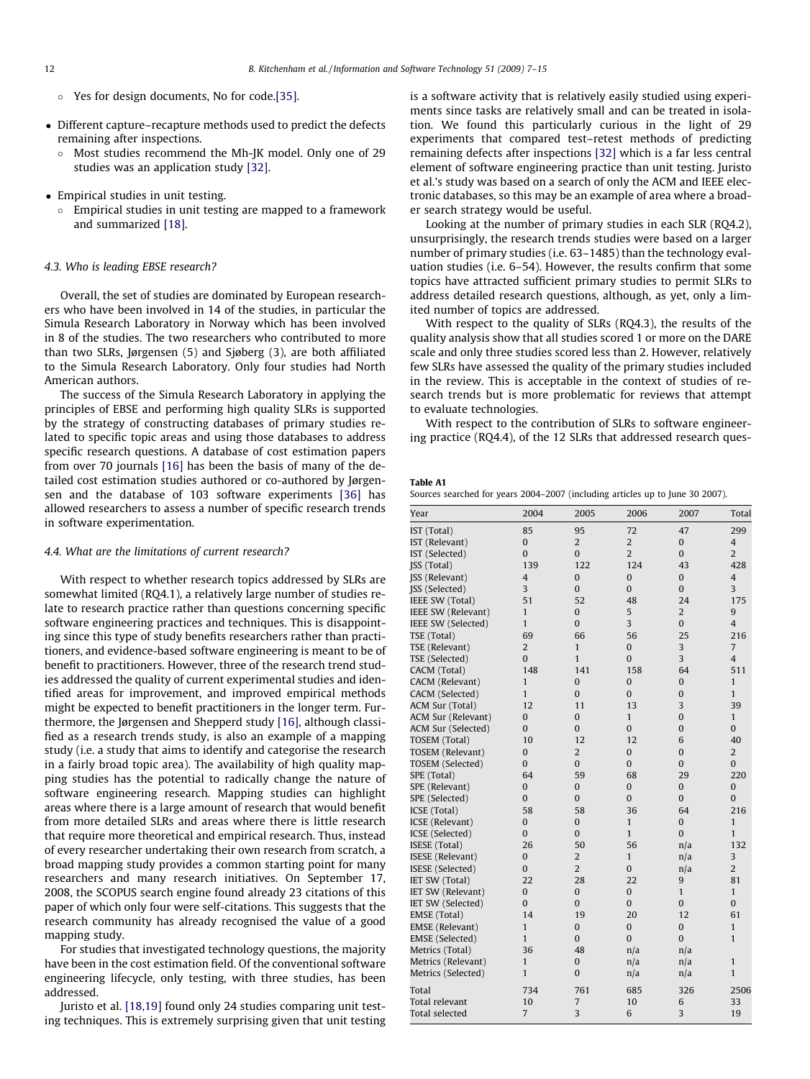- <span id="page-5-0"></span>Yes for design documents, No for code.[\[35\]](#page-8-0).
- Different capture–recapture methods used to predict the defects remaining after inspections.
	- Most studies recommend the Mh-JK model. Only one of 29 studies was an application study [\[32\]](#page-8-0).
- Empirical studies in unit testing.
	- Empirical studies in unit testing are mapped to a framework and summarized [\[18\]](#page-8-0).

## 4.3. Who is leading EBSE research?

Overall, the set of studies are dominated by European researchers who have been involved in 14 of the studies, in particular the Simula Research Laboratory in Norway which has been involved in 8 of the studies. The two researchers who contributed to more than two SLRs, Jørgensen (5) and Sjøberg (3), are both affiliated to the Simula Research Laboratory. Only four studies had North American authors.

The success of the Simula Research Laboratory in applying the principles of EBSE and performing high quality SLRs is supported by the strategy of constructing databases of primary studies related to specific topic areas and using those databases to address specific research questions. A database of cost estimation papers from over 70 journals [\[16\]](#page-8-0) has been the basis of many of the detailed cost estimation studies authored or co-authored by Jørgensen and the database of 103 software experiments [\[36\]](#page-8-0) has allowed researchers to assess a number of specific research trends in software experimentation.

#### 4.4. What are the limitations of current research?

With respect to whether research topics addressed by SLRs are somewhat limited (RQ4.1), a relatively large number of studies relate to research practice rather than questions concerning specific software engineering practices and techniques. This is disappointing since this type of study benefits researchers rather than practitioners, and evidence-based software engineering is meant to be of benefit to practitioners. However, three of the research trend studies addressed the quality of current experimental studies and identified areas for improvement, and improved empirical methods might be expected to benefit practitioners in the longer term. Furthermore, the Jørgensen and Shepperd study [\[16\],](#page-8-0) although classified as a research trends study, is also an example of a mapping study (i.e. a study that aims to identify and categorise the research in a fairly broad topic area). The availability of high quality mapping studies has the potential to radically change the nature of software engineering research. Mapping studies can highlight areas where there is a large amount of research that would benefit from more detailed SLRs and areas where there is little research that require more theoretical and empirical research. Thus, instead of every researcher undertaking their own research from scratch, a broad mapping study provides a common starting point for many researchers and many research initiatives. On September 17, 2008, the SCOPUS search engine found already 23 citations of this paper of which only four were self-citations. This suggests that the research community has already recognised the value of a good mapping study.

For studies that investigated technology questions, the majority have been in the cost estimation field. Of the conventional software engineering lifecycle, only testing, with three studies, has been addressed.

Juristo et al. [\[18,19\]](#page-8-0) found only 24 studies comparing unit testing techniques. This is extremely surprising given that unit testing is a software activity that is relatively easily studied using experiments since tasks are relatively small and can be treated in isolation. We found this particularly curious in the light of 29 experiments that compared test–retest methods of predicting remaining defects after inspections [\[32\]](#page-8-0) which is a far less central element of software engineering practice than unit testing. Juristo et al.'s study was based on a search of only the ACM and IEEE electronic databases, so this may be an example of area where a broader search strategy would be useful.

Looking at the number of primary studies in each SLR (RQ4.2), unsurprisingly, the research trends studies were based on a larger number of primary studies (i.e. 63–1485) than the technology evaluation studies (i.e. 6–54). However, the results confirm that some topics have attracted sufficient primary studies to permit SLRs to address detailed research questions, although, as yet, only a limited number of topics are addressed.

With respect to the quality of SLRs (RQ4.3), the results of the quality analysis show that all studies scored 1 or more on the DARE scale and only three studies scored less than 2. However, relatively few SLRs have assessed the quality of the primary studies included in the review. This is acceptable in the context of studies of research trends but is more problematic for reviews that attempt to evaluate technologies.

With respect to the contribution of SLRs to software engineering practice (RQ4.4), of the 12 SLRs that addressed research ques-

#### Table A1

| Sources searched for years 2004–2007 (including articles up to June 30 2007) |  |  |  |
|------------------------------------------------------------------------------|--|--|--|
|------------------------------------------------------------------------------|--|--|--|

| Year                      | 2004             | 2005           | 2006           | 2007             | Total            |
|---------------------------|------------------|----------------|----------------|------------------|------------------|
| IST (Total)               | 85               | 95             | 72             | 47               | 299              |
| IST (Relevant)            | 0                | $\overline{2}$ | 2              | $\overline{0}$   | 4                |
| IST (Selected)            | $\overline{0}$   | $\bf{0}$       | $\overline{2}$ | $\overline{0}$   | $\overline{2}$   |
| JSS (Total)               | 139              | 122            | 124            | 43               | 428              |
| <b>JSS</b> (Relevant)     | 4                | $\mathbf{0}$   | $\mathbf{0}$   | $\overline{0}$   | $\overline{4}$   |
| <b>JSS</b> (Selected)     | 3                | $\bf{0}$       | $\overline{0}$ | 0                | 3                |
| IEEE SW (Total)           | 51               | 52             | 48             | 24               | 175              |
| IEEE SW (Relevant)        | $\mathbf{1}$     | $\bf{0}$       | 5              | $\overline{2}$   | $\boldsymbol{9}$ |
| IEEE SW (Selected)        | $\mathbf{1}$     | $\bf{0}$       | 3              | $\boldsymbol{0}$ | $\overline{4}$   |
| TSE (Total)               | 69               | 66             | 56             | 25               | 216              |
| TSE (Relevant)            | $\overline{2}$   | $\mathbf{1}$   | $\overline{0}$ | 3                | $\overline{7}$   |
| TSE (Selected)            | $\overline{0}$   | $\mathbf{1}$   | $\bf{0}$       | 3                | $\overline{4}$   |
| CACM (Total)              | 148              | 141            | 158            | 64               | 511              |
| CACM (Relevant)           | $\overline{1}$   | $\overline{0}$ | $\mathbf{0}$   | $\overline{0}$   | $\mathbf{1}$     |
| CACM (Selected)           | $\mathbf{1}$     | $\overline{0}$ | $\mathbf{0}$   | $\bf{0}$         | $\mathbf{1}$     |
| ACM Sur (Total)           | 12               | 11             | 13             | 3                | 39               |
| <b>ACM Sur (Relevant)</b> | 0                | 0              | $\mathbf{1}$   | $\bf{0}$         | $\mathbf{1}$     |
| ACM Sur (Selected)        | $\overline{0}$   | 0              | $\bf{0}$       | $\bf{0}$         | 0                |
| TOSEM (Total)             | 10               | 12             | 12             | 6                | 40               |
| TOSEM (Relevant)          | $\overline{0}$   | $\overline{2}$ | 0              | $\overline{0}$   | $\sqrt{2}$       |
| TOSEM (Selected)          | $\Omega$         | 0              | 0              | $\overline{0}$   | $\boldsymbol{0}$ |
| SPE (Total)               | 64               | 59             | 68             | 29               | 220              |
| SPE (Relevant)            | 0                | 0              | 0              | $\overline{0}$   | $\overline{0}$   |
| SPE (Selected)            | 0                | 0              | 0              | 0                | $\bf{0}$         |
| ICSE (Total)              | 58               | 58             | 36             | 64               | 216              |
| ICSE (Relevant)           | $\boldsymbol{0}$ | $\bf{0}$       | $\mathbf{1}$   | $\overline{0}$   | $\mathbf{1}$     |
| ICSE (Selected)           | 0                | 0              | $\mathbf{1}$   | $\overline{0}$   | $\mathbf{1}$     |
| ISESE (Total)             | 26               | 50             | 56             | n/a              | 132              |
| ISESE (Relevant)          | 0                | $\overline{2}$ | $\mathbf{1}$   | n/a              | 3                |
| ISESE (Selected)          | $\bf{0}$         | $\overline{2}$ | 0              | n/a              | $\overline{2}$   |
| IET SW (Total)            | 22               | 28             | 22             | 9                | 81               |
| IET SW (Relevant)         | 0                | 0              | 0              | $\mathbf{1}$     | $\mathbf{1}$     |
| IET SW (Selected)         | $\Omega$         | 0              | 0              | $\overline{0}$   | $\mathbf{0}$     |
| EMSE (Total)              | 14               | 19             | 20             | 12               | 61               |
| EMSE (Relevant)           | $\overline{1}$   | 0              | 0              | $\overline{0}$   | $\mathbf{1}$     |
| EMSE (Selected)           | $\mathbf{1}$     | 0              | $\overline{0}$ | $\overline{0}$   | $\mathbf{1}$     |
| Metrics (Total)           | 36               | 48             | n/a            | n/a              |                  |
| Metrics (Relevant)        | $\mathbf{1}$     | $\overline{0}$ | n/a            | n/a              | $\mathbf{1}$     |
| Metrics (Selected)        | $\mathbf{1}$     | 0              | n/a            | n/a              | $\mathbf{1}$     |
| Total                     | 734              | 761            | 685            | 326              | 2506             |
| Total relevant            | 10               | 7              | 10             | 6                | 33               |
| Total selected            | 7                | 3              | 6              | 3                | 19               |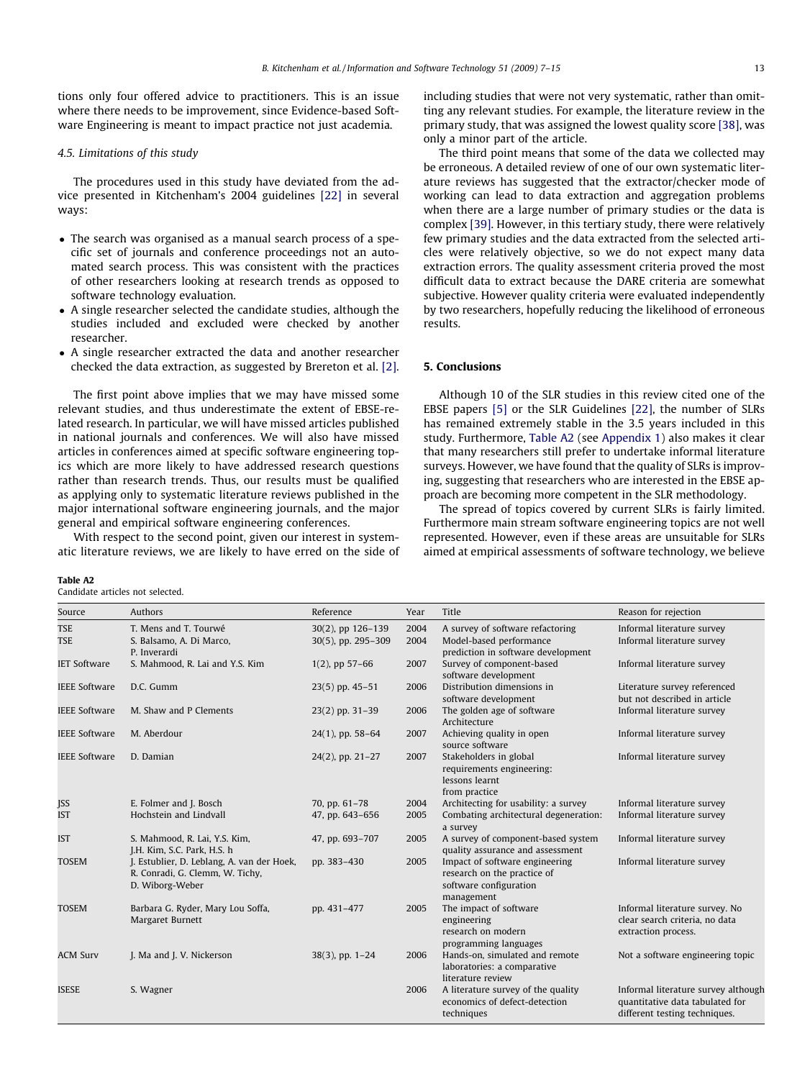<span id="page-6-0"></span>tions only four offered advice to practitioners. This is an issue where there needs to be improvement, since Evidence-based Software Engineering is meant to impact practice not just academia.

#### 4.5. Limitations of this study

The procedures used in this study have deviated from the advice presented in Kitchenham's 2004 guidelines [\[22\]](#page-8-0) in several ways:

- The search was organised as a manual search process of a specific set of journals and conference proceedings not an automated search process. This was consistent with the practices of other researchers looking at research trends as opposed to software technology evaluation.
- A single researcher selected the candidate studies, although the studies included and excluded were checked by another researcher.
- A single researcher extracted the data and another researcher checked the data extraction, as suggested by Brereton et al. [\[2\].](#page-8-0)

The first point above implies that we may have missed some relevant studies, and thus underestimate the extent of EBSE-related research. In particular, we will have missed articles published in national journals and conferences. We will also have missed articles in conferences aimed at specific software engineering topics which are more likely to have addressed research questions rather than research trends. Thus, our results must be qualified as applying only to systematic literature reviews published in the major international software engineering journals, and the major general and empirical software engineering conferences.

With respect to the second point, given our interest in systematic literature reviews, we are likely to have erred on the side of

#### Table A2

Candidate articles not selected.

including studies that were not very systematic, rather than omitting any relevant studies. For example, the literature review in the primary study, that was assigned the lowest quality score [\[38\],](#page-8-0) was only a minor part of the article.

The third point means that some of the data we collected may be erroneous. A detailed review of one of our own systematic literature reviews has suggested that the extractor/checker mode of working can lead to data extraction and aggregation problems when there are a large number of primary studies or the data is complex [\[39\]](#page-8-0). However, in this tertiary study, there were relatively few primary studies and the data extracted from the selected articles were relatively objective, so we do not expect many data extraction errors. The quality assessment criteria proved the most difficult data to extract because the DARE criteria are somewhat subjective. However quality criteria were evaluated independently by two researchers, hopefully reducing the likelihood of erroneous results.

## 5. Conclusions

Although 10 of the SLR studies in this review cited one of the EBSE papers [\[5\]](#page-8-0) or the SLR Guidelines [\[22\],](#page-8-0) the number of SLRs has remained extremely stable in the 3.5 years included in this study. Furthermore, Table A2 (see Appendix 1) also makes it clear that many researchers still prefer to undertake informal literature surveys. However, we have found that the quality of SLRs is improving, suggesting that researchers who are interested in the EBSE approach are becoming more competent in the SLR methodology.

The spread of topics covered by current SLRs is fairly limited. Furthermore main stream software engineering topics are not well represented. However, even if these areas are unsuitable for SLRs aimed at empirical assessments of software technology, we believe

| Source               | Authors                                                                                          | Reference             | Year | Title                                                                                                 | Reason for rejection                                                                                    |
|----------------------|--------------------------------------------------------------------------------------------------|-----------------------|------|-------------------------------------------------------------------------------------------------------|---------------------------------------------------------------------------------------------------------|
| <b>TSE</b>           | T. Mens and T. Tourwé                                                                            | 30(2), pp 126-139     | 2004 | A survey of software refactoring                                                                      | Informal literature survey                                                                              |
| <b>TSE</b>           | S. Balsamo, A. Di Marco,                                                                         | $30(5)$ , pp. 295-309 | 2004 | Model-based performance                                                                               | Informal literature survey                                                                              |
|                      | P. Inverardi                                                                                     |                       |      | prediction in software development                                                                    |                                                                                                         |
| <b>IET Software</b>  | S. Mahmood, R. Lai and Y.S. Kim                                                                  | $1(2)$ , pp 57-66     | 2007 | Survey of component-based<br>software development                                                     | Informal literature survey                                                                              |
| <b>IEEE Software</b> | D.C. Gumm                                                                                        | $23(5)$ pp. 45-51     | 2006 | Distribution dimensions in                                                                            | Literature survey referenced                                                                            |
|                      |                                                                                                  |                       |      | software development                                                                                  | but not described in article                                                                            |
| <b>IEEE Software</b> | M. Shaw and P Clements                                                                           | $23(2)$ pp. 31-39     | 2006 | The golden age of software<br>Architecture                                                            | Informal literature survey                                                                              |
| <b>IEEE Software</b> | M. Aberdour                                                                                      | 24(1), pp. 58-64      | 2007 | Achieving quality in open<br>source software                                                          | Informal literature survey                                                                              |
| <b>IEEE Software</b> | D. Damian                                                                                        | $24(2)$ , pp. $21-27$ | 2007 | Stakeholders in global<br>requirements engineering:<br>lessons learnt<br>from practice                | Informal literature survey                                                                              |
| <b>ISS</b>           | E. Folmer and J. Bosch                                                                           | 70, pp. 61-78         | 2004 | Architecting for usability: a survey                                                                  | Informal literature survey                                                                              |
| <b>IST</b>           | Hochstein and Lindvall                                                                           | 47, pp. 643-656       | 2005 | Combating architectural degeneration:<br>a survey                                                     | Informal literature survey                                                                              |
| <b>IST</b>           | S. Mahmood, R. Lai, Y.S. Kim,<br>J.H. Kim, S.C. Park, H.S. h                                     | 47, pp. 693-707       | 2005 | A survey of component-based system<br>quality assurance and assessment                                | Informal literature survey                                                                              |
| <b>TOSEM</b>         | J. Estublier, D. Leblang, A. van der Hoek,<br>R. Conradi, G. Clemm, W. Tichy,<br>D. Wiborg-Weber | pp. 383-430           | 2005 | Impact of software engineering<br>research on the practice of<br>software configuration<br>management | Informal literature survey                                                                              |
| <b>TOSEM</b>         | Barbara G. Ryder, Mary Lou Soffa,<br>Margaret Burnett                                            | pp. 431-477           | 2005 | The impact of software<br>engineering<br>research on modern<br>programming languages                  | Informal literature survey. No<br>clear search criteria, no data<br>extraction process.                 |
| <b>ACM Surv</b>      | J. Ma and J. V. Nickerson                                                                        | $38(3)$ , pp. 1-24    | 2006 | Hands-on, simulated and remote<br>laboratories: a comparative<br>literature review                    | Not a software engineering topic                                                                        |
| <b>ISESE</b>         | S. Wagner                                                                                        |                       | 2006 | A literature survey of the quality<br>economics of defect-detection<br>techniques                     | Informal literature survey although<br>quantitative data tabulated for<br>different testing techniques. |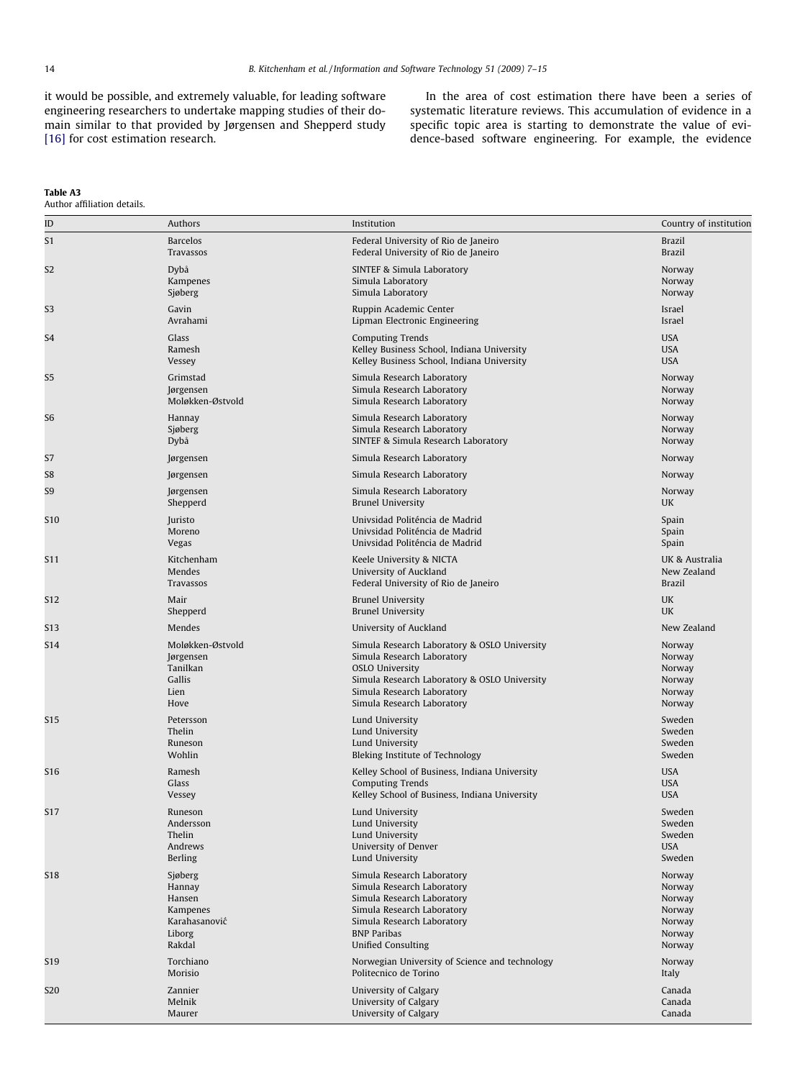it would be possible, and extremely valuable, for leading software engineering researchers to undertake mapping studies of their domain similar to that provided by Jørgensen and Shepperd study [\[16\]](#page-8-0) for cost estimation research.

In the area of cost estimation there have been a series of systematic literature reviews. This accumulation of evidence in a specific topic area is starting to demonstrate the value of evidence-based software engineering. For example, the evidence

#### Table A3

Author affiliation details.

| ID             | Authors          | Institution                                    | Country of institution |
|----------------|------------------|------------------------------------------------|------------------------|
| S <sub>1</sub> | <b>Barcelos</b>  | Federal University of Rio de Janeiro           | <b>Brazil</b>          |
|                | Travassos        | Federal University of Rio de Janeiro           | <b>Brazil</b>          |
| S2             | Dybå             | SINTEF & Simula Laboratory                     | Norway                 |
|                | Kampenes         | Simula Laboratory                              | Norway                 |
|                | Sjøberg          | Simula Laboratory                              | Norway                 |
| S3             | Gavin            | Ruppin Academic Center                         | Israel                 |
|                | Avrahami         | Lipman Electronic Engineering                  | Israel                 |
| S4             | Glass            | <b>Computing Trends</b>                        | <b>USA</b>             |
|                | Ramesh           | Kelley Business School, Indiana University     | <b>USA</b>             |
|                | Vessey           | Kelley Business School, Indiana University     | <b>USA</b>             |
| S5             | Grimstad         | Simula Research Laboratory                     | Norway                 |
|                | Jørgensen        | Simula Research Laboratory                     | Norway                 |
|                | Moløkken-Østvold | Simula Research Laboratory                     | Norway                 |
| S6             | Hannay           | Simula Research Laboratory                     | Norway                 |
|                | Sjøberg          | Simula Research Laboratory                     | Norway                 |
|                | Dybå             | SINTEF & Simula Research Laboratory            | Norway                 |
| S7             | Jørgensen        | Simula Research Laboratory                     | Norway                 |
| S8             | Jørgensen        | Simula Research Laboratory                     | Norway                 |
| S9             | Jørgensen        | Simula Research Laboratory                     | Norway                 |
|                | Shepperd         | <b>Brunel University</b>                       | UK                     |
| S10            | <b>Iuristo</b>   | Univsidad Politéncia de Madrid                 | Spain                  |
|                | Moreno           | Univsidad Politéncia de Madrid                 | Spain                  |
|                | Vegas            | Univsidad Politéncia de Madrid                 | Spain                  |
| S11            | Kitchenham       | Keele University & NICTA                       | UK & Australia         |
|                | Mendes           | University of Auckland                         | New Zealand            |
|                | Travassos        | Federal University of Rio de Janeiro           | <b>Brazil</b>          |
| S12            | Mair             | <b>Brunel University</b>                       | <b>UK</b>              |
|                | Shepperd         | <b>Brunel University</b>                       | <b>UK</b>              |
| S13            | Mendes           | University of Auckland                         | New Zealand            |
| S14            | Moløkken-Østvold | Simula Research Laboratory & OSLO University   | Norway                 |
|                | Jørgensen        | Simula Research Laboratory                     | Norway                 |
|                | Tanilkan         | <b>OSLO University</b>                         | Norway                 |
|                | Gallis           | Simula Research Laboratory & OSLO University   | Norway                 |
|                | Lien             | Simula Research Laboratory                     | Norway                 |
|                | Hove             | Simula Research Laboratory                     | Norway                 |
| S15            | Petersson        | Lund University                                | Sweden                 |
|                | Thelin           | Lund University                                | Sweden                 |
|                | Runeson          | Lund University                                | Sweden                 |
|                | Wohlin           | Bleking Institute of Technology                | Sweden                 |
| S16            | Ramesh           | Kelley School of Business, Indiana University  | <b>USA</b>             |
|                | Glass            | <b>Computing Trends</b>                        | <b>USA</b>             |
|                | Vessey           | Kelley School of Business, Indiana University  | <b>USA</b>             |
| S17            | Runeson          | Lund University                                | Sweden                 |
|                | Andersson        | Lund University                                | Sweden                 |
|                | Thelin           | Lund University                                | Sweden                 |
|                | Andrews          | University of Denver                           | <b>USA</b>             |
|                | Berling          | Lund University                                | Sweden                 |
| S18            | Sjøberg          | Simula Research Laboratory                     | Norway                 |
|                | Hannay           | Simula Research Laboratory                     | Norway                 |
|                | Hansen           | Simula Research Laboratory                     | Norway                 |
|                | Kampenes         | Simula Research Laboratory                     | Norway                 |
|                | Karahasanović    | Simula Research Laboratory                     | Norway                 |
|                | Liborg           | <b>BNP Paribas</b>                             | Norway                 |
|                | Rakdal           | <b>Unified Consulting</b>                      | Norway                 |
| S19            | Torchiano        | Norwegian University of Science and technology | Norway                 |
|                | Morisio          | Politecnico de Torino                          | Italy                  |
| S20            | Zannier          | University of Calgary                          | Canada                 |
|                | Melnik           | University of Calgary                          | Canada                 |
|                | Maurer           | University of Calgary                          | Canada                 |